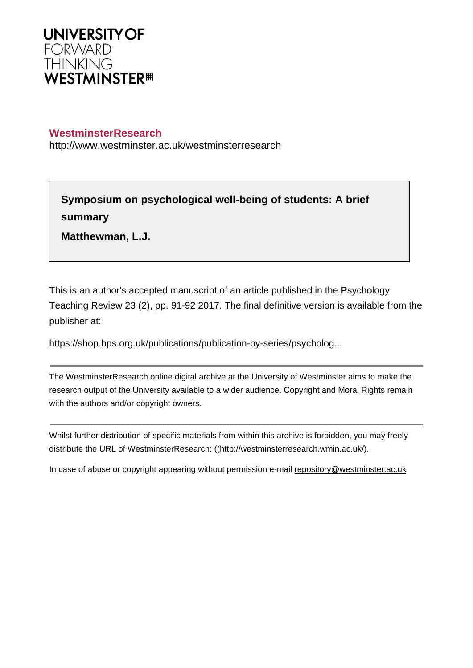

## **WestminsterResearch**

http://www.westminster.ac.uk/westminsterresearch

**Symposium on psychological well-being of students: A brief summary**

**Matthewman, L.J.**

This is an author's accepted manuscript of an article published in the Psychology Teaching Review 23 (2), pp. 91-92 2017. The final definitive version is available from the publisher at:

[https://shop.bps.org.uk/publications/publication-by-series/psycholog...](https://shop.bps.org.uk/publications/publication-by-series/psychology-teaching-review/psychology-teaching-review-vol-23-no-2-2017.html)

The WestminsterResearch online digital archive at the University of Westminster aims to make the research output of the University available to a wider audience. Copyright and Moral Rights remain with the authors and/or copyright owners.

Whilst further distribution of specific materials from within this archive is forbidden, you may freely distribute the URL of WestminsterResearch: [\(\(http://westminsterresearch.wmin.ac.uk/](http://westminsterresearch.wmin.ac.uk/)).

In case of abuse or copyright appearing without permission e-mail <repository@westminster.ac.uk>